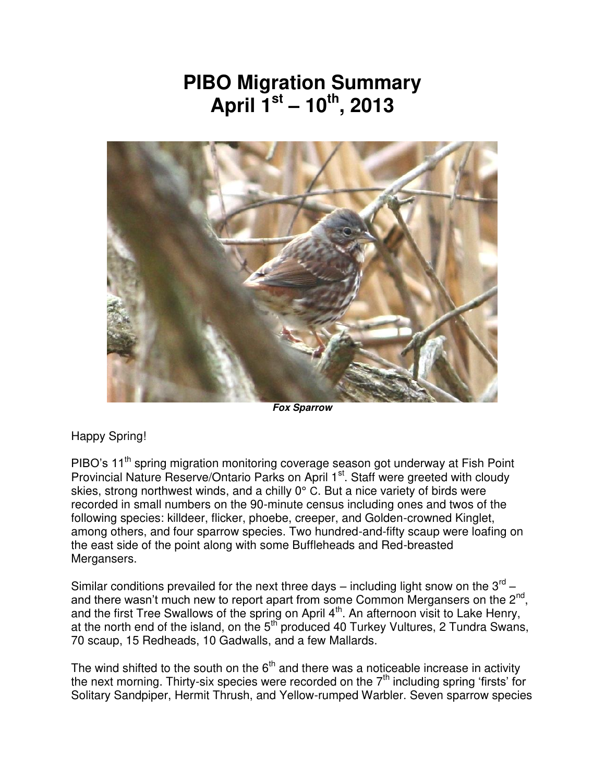## **PIBO Migration Summary April 1st – 10th, 2013**



*Fox Sparrow* 

## Happy Spring!

PIBO's 11<sup>th</sup> spring migration monitoring coverage season got underway at Fish Point Provincial Nature Reserve/Ontario Parks on April 1<sup>st</sup>. Staff were greeted with cloudy skies, strong northwest winds, and a chilly 0° C. But a nice variety of birds were recorded in small numbers on the 90-minute census including ones and twos of the following species: killdeer, flicker, phoebe, creeper, and Golden-crowned Kinglet, among others, and four sparrow species. Two hundred-and-fifty scaup were loafing on the east side of the point along with some Buffleheads and Red-breasted Mergansers.

Similar conditions prevailed for the next three days – including light snow on the  $3^{\text{rd}}$  – and there wasn't much new to report apart from some Common Mergansers on the  $2^{nd}$ , and the first Tree Swallows of the spring on April  $4<sup>th</sup>$ . An afternoon visit to Lake Henry, at the north end of the island, on the  $5<sup>th</sup>$  produced 40 Turkey Vultures, 2 Tundra Swans, 70 scaup, 15 Redheads, 10 Gadwalls, and a few Mallards.

The wind shifted to the south on the  $6<sup>th</sup>$  and there was a noticeable increase in activity the next morning. Thirty-six species were recorded on the  $7<sup>th</sup>$  including spring 'firsts' for Solitary Sandpiper, Hermit Thrush, and Yellow-rumped Warbler. Seven sparrow species